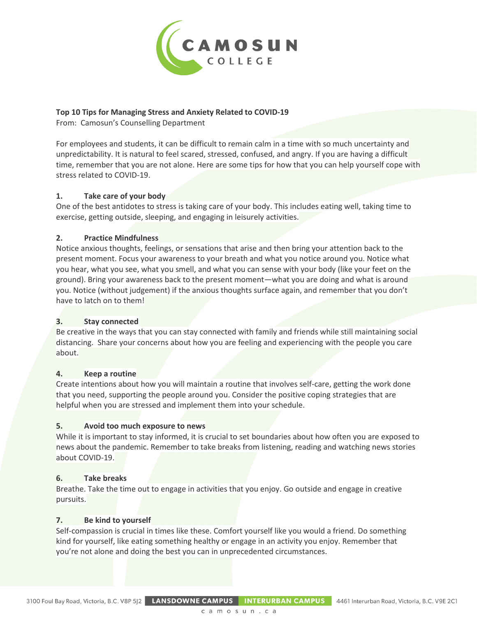

# **Top 10 Tips for Managing Stress and Anxiety Related to COVID-19**

From: Camosun's Counselling Department

For employees and students, it can be difficult to remain calm in a time with so much uncertainty and unpredictability. It is natural to feel scared, stressed, confused, and angry. If you are having a difficult time, remember that you are not alone. Here are some tips for how that you can help yourself cope with stress related to COVID-19.

## **1. Take care of your body**

One of the best antidotes to stress is taking care of your body. This includes eating well, taking time to exercise, getting outside, sleeping, and engaging in leisurely activities.

## **2. Practice Mindfulness**

Notice anxious thoughts, feelings, or sensations that arise and then bring your attention back to the present moment. Focus your awareness to your breath and what you notice around you. Notice what you hear, what you see, what you smell, and what you can sense with your body (like your feet on the ground). Bring your awareness back to the present moment—what you are doing and what is around you. Notice (without judgement) if the anxious thoughts surface again, and remember that you don't have to latch on to them!

#### **3. Stay connected**

Be creative in the ways that you can stay connected with family and friends while still maintaining social distancing. Share your concerns about how you are feeling and experiencing with the people you care about.

#### **4. Keep a routine**

Create intentions about how you will maintain a routine that involves self-care, getting the work done that you need, supporting the people around you. Consider the positive coping strategies that are helpful when you are stressed and implement them into your schedule.

#### **5. Avoid too much exposure to news**

While it is important to stay informed, it is crucial to set boundaries about how often you are exposed to news about the pandemic. Remember to take breaks from listening, reading and watching news stories about COVID-19.

#### **6. Take breaks**

Breathe. Take the time out to engage in activities that you enjoy. Go outside and engage in creative pursuits.

#### **7. Be kind to yourself**

Self-compassion is crucial in times like these. Comfort yourself like you would a friend. Do something kind for yourself, like eating something healthy or engage in an activity you enjoy. Remember that you're not alone and doing the best you can in unprecedented circumstances.